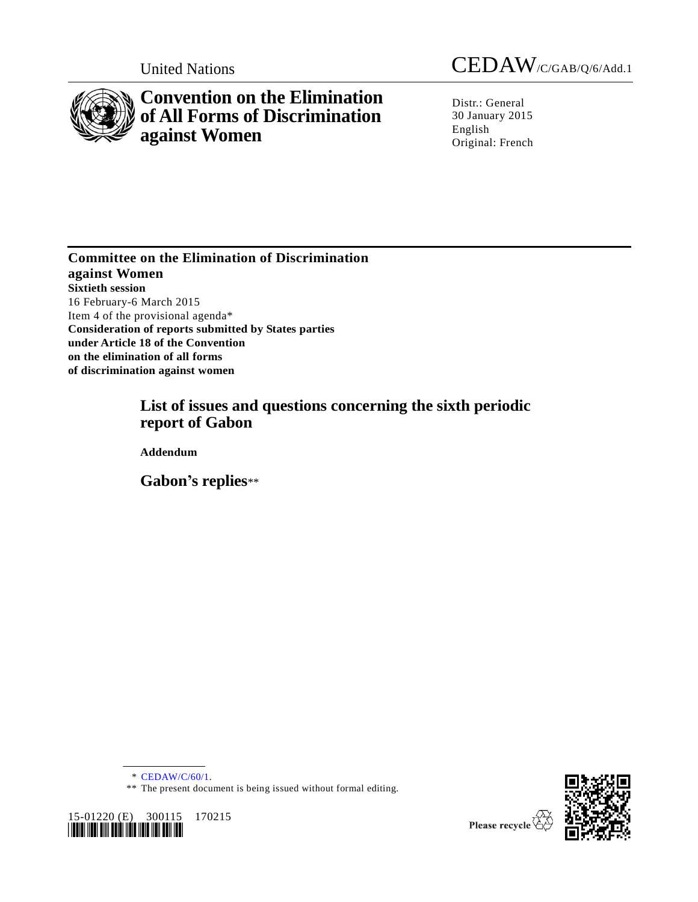

# **Convention on the Elimination of All Forms of Discrimination against Women**

United Nations CEDAW/C/GAB/Q/6/Add.1

Distr.: General 30 January 2015 English Original: French

**Committee on the Elimination of Discrimination against Women Sixtieth session**  16 February-6 March 2015 Item 4 of the provisional agenda\* **Consideration of reports submitted by States parties under Article 18 of the Convention on the elimination of all forms of discrimination against women**

## **List of issues and questions concerning the sixth periodic report of Gabon**

**Addendum**

**Gabon's replies**\*\*

\* [CEDAW/C/60/1.](http://undocs.org/CEDAW/C/60/1)

<sup>\*\*</sup> The present document is being issued without formal editing.



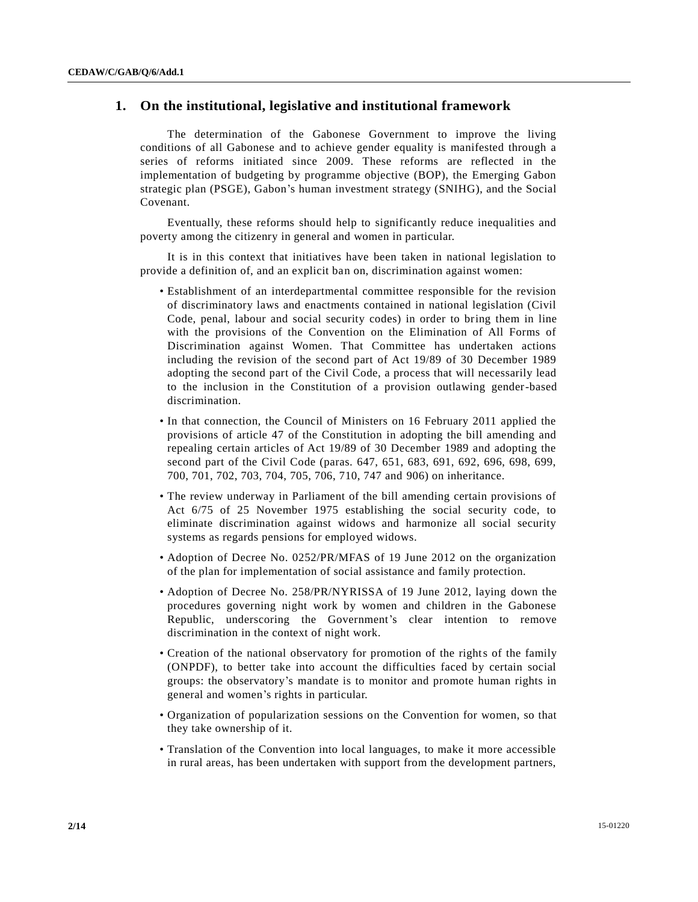## **1. On the institutional, legislative and institutional framework**

The determination of the Gabonese Government to improve the living conditions of all Gabonese and to achieve gender equality is manifested through a series of reforms initiated since 2009. These reforms are reflected in the implementation of budgeting by programme objective (BOP), the Emerging Gabon strategic plan (PSGE), Gabon's human investment strategy (SNIHG), and the Social Covenant.

Eventually, these reforms should help to significantly reduce inequalities and poverty among the citizenry in general and women in particular.

It is in this context that initiatives have been taken in national legislation to provide a definition of, and an explicit ban on, discrimination against women:

- Establishment of an interdepartmental committee responsible for the revision of discriminatory laws and enactments contained in national legislation (Civil Code, penal, labour and social security codes) in order to bring them in line with the provisions of the Convention on the Elimination of All Forms of Discrimination against Women. That Committee has undertaken actions including the revision of the second part of Act 19/89 of 30 December 1989 adopting the second part of the Civil Code, a process that will necessarily lead to the inclusion in the Constitution of a provision outlawing gender-based discrimination.
- In that connection, the Council of Ministers on 16 February 2011 applied the provisions of article 47 of the Constitution in adopting the bill amending and repealing certain articles of Act 19/89 of 30 December 1989 and adopting the second part of the Civil Code (paras. 647, 651, 683, 691, 692, 696, 698, 699, 700, 701, 702, 703, 704, 705, 706, 710, 747 and 906) on inheritance.
- The review underway in Parliament of the bill amending certain provisions of Act 6/75 of 25 November 1975 establishing the social security code, to eliminate discrimination against widows and harmonize all social security systems as regards pensions for employed widows.
- Adoption of Decree No. 0252/PR/MFAS of 19 June 2012 on the organization of the plan for implementation of social assistance and family protection.
- Adoption of Decree No. 258/PR/NYRISSA of 19 June 2012, laying down the procedures governing night work by women and children in the Gabonese Republic, underscoring the Government's clear intention to remove discrimination in the context of night work.
- Creation of the national observatory for promotion of the rights of the family (ONPDF), to better take into account the difficulties faced by certain social groups: the observatory's mandate is to monitor and promote human rights in general and women's rights in particular.
- Organization of popularization sessions on the Convention for women, so that they take ownership of it.
- Translation of the Convention into local languages, to make it more accessible in rural areas, has been undertaken with support from the development partners,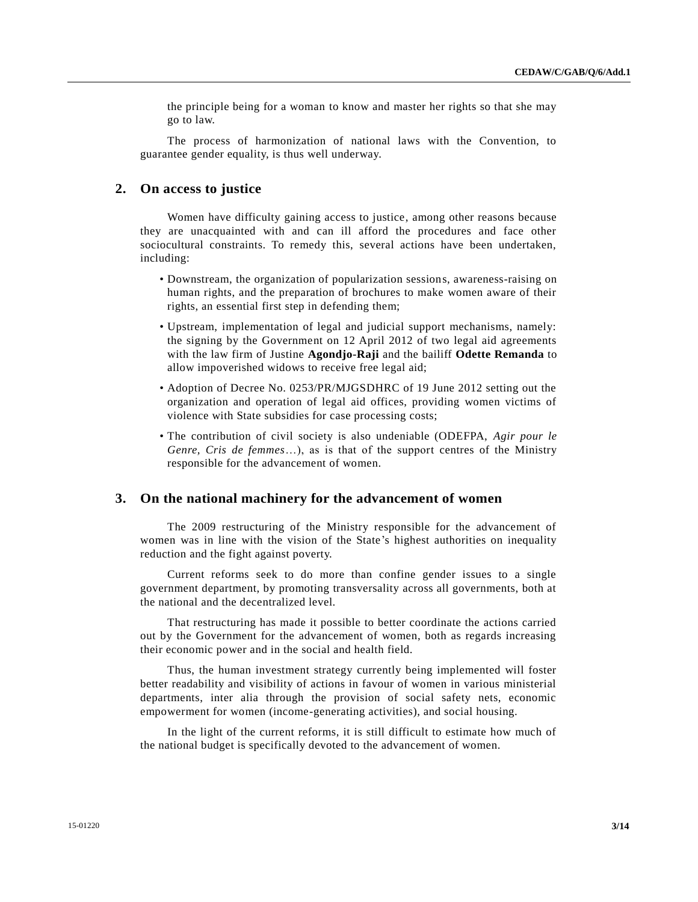the principle being for a woman to know and master her rights so that she may go to law.

The process of harmonization of national laws with the Convention, to guarantee gender equality, is thus well underway.

#### **2. On access to justice**

Women have difficulty gaining access to justice, among other reasons because they are unacquainted with and can ill afford the procedures and face other sociocultural constraints. To remedy this, several actions have been undertaken, including:

- Downstream, the organization of popularization sessions, awareness-raising on human rights, and the preparation of brochures to make women aware of their rights, an essential first step in defending them;
- Upstream, implementation of legal and judicial support mechanisms, namely: the signing by the Government on 12 April 2012 of two legal aid agreements with the law firm of Justine **Agondjo-Raji** and the bailiff **Odette Remanda** to allow impoverished widows to receive free legal aid;
- Adoption of Decree No. 0253/PR/MJGSDHRC of 19 June 2012 setting out the organization and operation of legal aid offices, providing women victims of violence with State subsidies for case processing costs;
- The contribution of civil society is also undeniable (ODEFPA, *Agir pour le Genre, Cris de femmes*…), as is that of the support centres of the Ministry responsible for the advancement of women.

#### **3. On the national machinery for the advancement of women**

The 2009 restructuring of the Ministry responsible for the advancement of women was in line with the vision of the State's highest authorities on inequality reduction and the fight against poverty.

Current reforms seek to do more than confine gender issues to a single government department, by promoting transversality across all governments, both at the national and the decentralized level.

That restructuring has made it possible to better coordinate the actions carried out by the Government for the advancement of women, both as regards increasing their economic power and in the social and health field.

Thus, the human investment strategy currently being implemented will foster better readability and visibility of actions in favour of women in various ministerial departments, inter alia through the provision of social safety nets, economic empowerment for women (income-generating activities), and social housing.

In the light of the current reforms, it is still difficult to estimate how much of the national budget is specifically devoted to the advancement of women.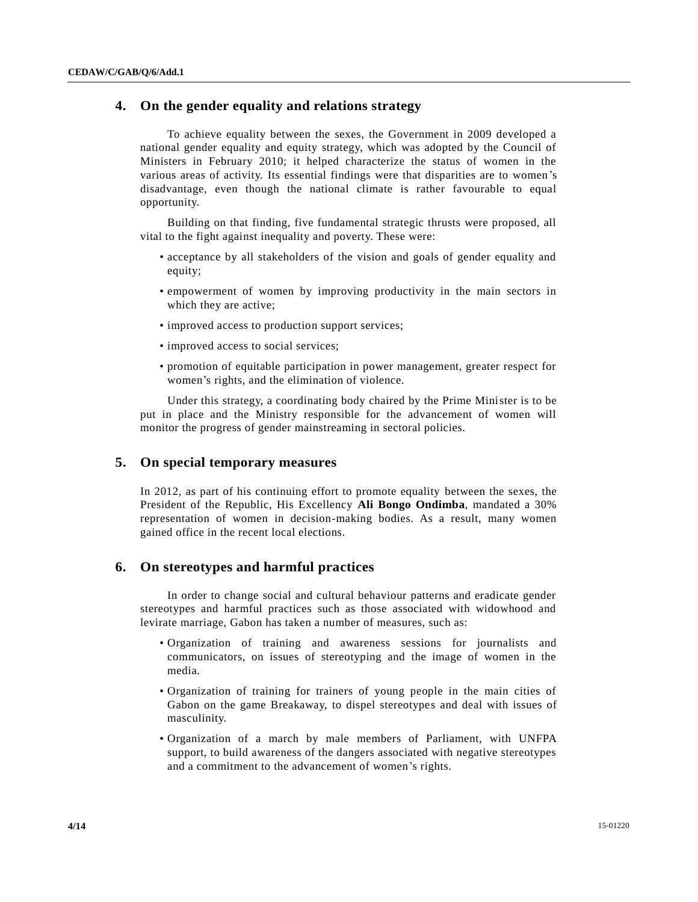## **4. On the gender equality and relations strategy**

To achieve equality between the sexes, the Government in 2009 developed a national gender equality and equity strategy, which was adopted by the Council of Ministers in February 2010; it helped characterize the status of women in the various areas of activity. Its essential findings were that disparities are to women's disadvantage, even though the national climate is rather favourable to equal opportunity.

Building on that finding, five fundamental strategic thrusts were proposed, all vital to the fight against inequality and poverty. These were:

- acceptance by all stakeholders of the vision and goals of gender equality and equity;
- empowerment of women by improving productivity in the main sectors in which they are active;
- improved access to production support services;
- improved access to social services;
- promotion of equitable participation in power management, greater respect for women's rights, and the elimination of violence.

Under this strategy, a coordinating body chaired by the Prime Minister is to be put in place and the Ministry responsible for the advancement of women will monitor the progress of gender mainstreaming in sectoral policies.

#### **5. On special temporary measures**

In 2012, as part of his continuing effort to promote equality between the sexes, the President of the Republic, His Excellency **Ali Bongo Ondimba**, mandated a 30% representation of women in decision-making bodies. As a result, many women gained office in the recent local elections.

#### **6. On stereotypes and harmful practices**

In order to change social and cultural behaviour patterns and eradicate gender stereotypes and harmful practices such as those associated with widowhood and levirate marriage, Gabon has taken a number of measures, such as:

- Organization of training and awareness sessions for journalists and communicators, on issues of stereotyping and the image of women in the media.
- Organization of training for trainers of young people in the main cities of Gabon on the game Breakaway, to dispel stereotypes and deal with issues of masculinity.
- Organization of a march by male members of Parliament, with UNFPA support, to build awareness of the dangers associated with negative stereotypes and a commitment to the advancement of women's rights.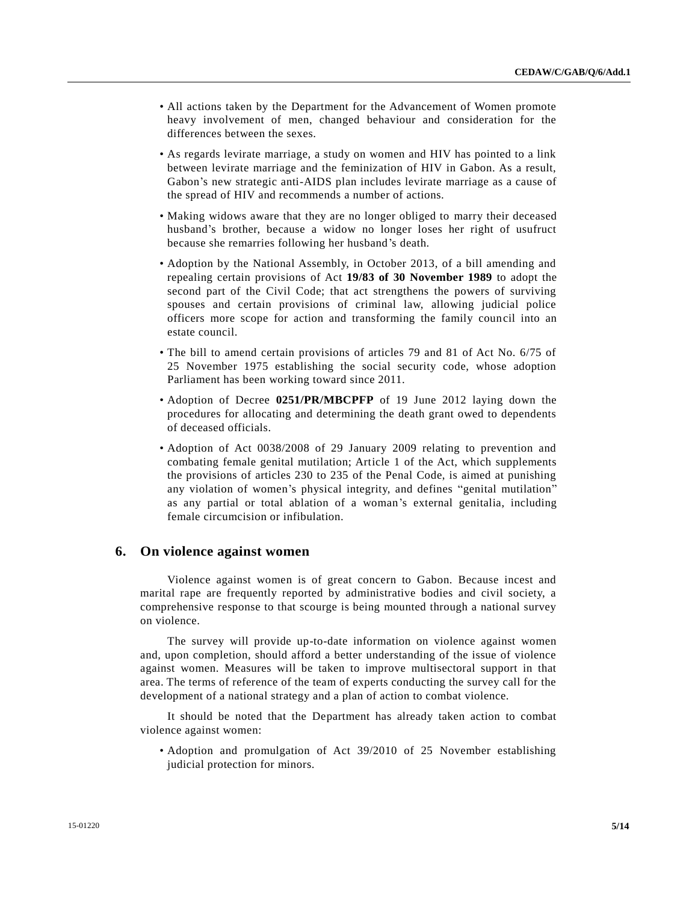- All actions taken by the Department for the Advancement of Women promote heavy involvement of men, changed behaviour and consideration for the differences between the sexes.
- As regards levirate marriage, a study on women and HIV has pointed to a link between levirate marriage and the feminization of HIV in Gabon. As a result, Gabon's new strategic anti-AIDS plan includes levirate marriage as a cause of the spread of HIV and recommends a number of actions.
- Making widows aware that they are no longer obliged to marry their deceased husband's brother, because a widow no longer loses her right of usufruct because she remarries following her husband's death.
- Adoption by the National Assembly, in October 2013, of a bill amending and repealing certain provisions of Act **19/83 of 30 November 1989** to adopt the second part of the Civil Code; that act strengthens the powers of surviving spouses and certain provisions of criminal law, allowing judicial police officers more scope for action and transforming the family council into an estate council.
- The bill to amend certain provisions of articles 79 and 81 of Act No. 6/75 of 25 November 1975 establishing the social security code, whose adoption Parliament has been working toward since 2011.
- Adoption of Decree **0251/PR/MBCPFP** of 19 June 2012 laying down the procedures for allocating and determining the death grant owed to dependents of deceased officials.
- Adoption of Act 0038/2008 of 29 January 2009 relating to prevention and combating female genital mutilation; Article 1 of the Act, which supplements the provisions of articles 230 to 235 of the Penal Code, is aimed at punishing any violation of women's physical integrity, and defines "genital mutilation" as any partial or total ablation of a woman's external genitalia, including female circumcision or infibulation.

#### **6. On violence against women**

Violence against women is of great concern to Gabon. Because incest and marital rape are frequently reported by administrative bodies and civil society, a comprehensive response to that scourge is being mounted through a national survey on violence.

The survey will provide up-to-date information on violence against women and, upon completion, should afford a better understanding of the issue of violence against women. Measures will be taken to improve multisectoral support in that area. The terms of reference of the team of experts conducting the survey call for the development of a national strategy and a plan of action to combat violence.

It should be noted that the Department has already taken action to combat violence against women:

• Adoption and promulgation of Act 39/2010 of 25 November establishing judicial protection for minors.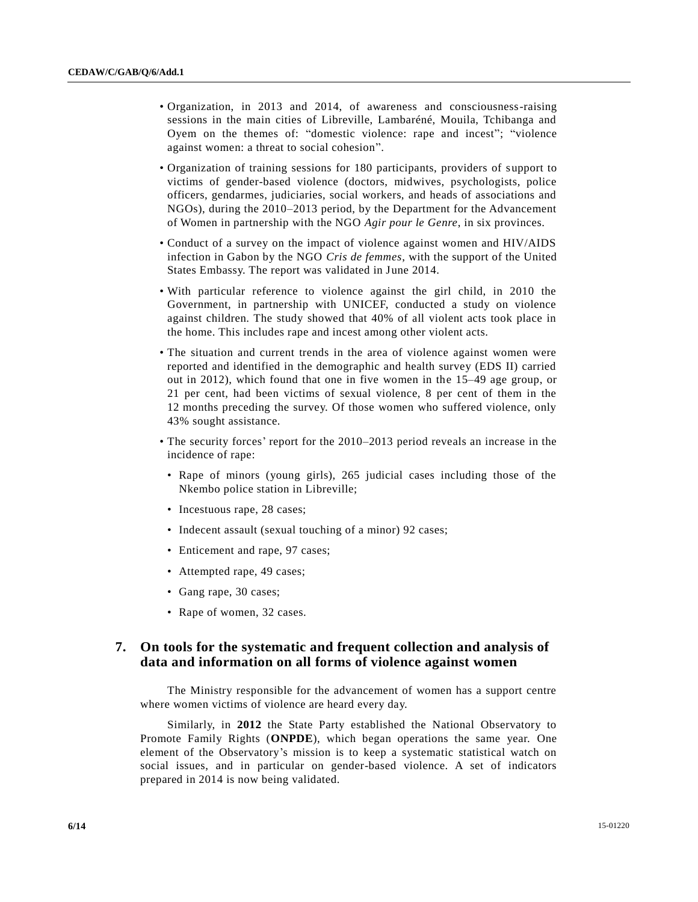- Organization, in 2013 and 2014, of awareness and consciousness-raising sessions in the main cities of Libreville, Lambaréné, Mouila, Tchibanga and Oyem on the themes of: "domestic violence: rape and incest"; "violence against women: a threat to social cohesion".
- Organization of training sessions for 180 participants, providers of support to victims of gender-based violence (doctors, midwives, psychologists, police officers, gendarmes, judiciaries, social workers, and heads of associations and NGOs), during the 2010–2013 period, by the Department for the Advancement of Women in partnership with the NGO *Agir pour le Genre*, in six provinces.
- Conduct of a survey on the impact of violence against women and HIV/AIDS infection in Gabon by the NGO *Cris de femmes*, with the support of the United States Embassy. The report was validated in June 2014.
- With particular reference to violence against the girl child, in 2010 the Government, in partnership with UNICEF, conducted a study on violence against children. The study showed that 40% of all violent acts took place in the home. This includes rape and incest among other violent acts.
- The situation and current trends in the area of violence against women were reported and identified in the demographic and health survey (EDS II) carried out in 2012), which found that one in five women in the 15–49 age group, or 21 per cent, had been victims of sexual violence, 8 per cent of them in the 12 months preceding the survey. Of those women who suffered violence, only 43% sought assistance.
- The security forces' report for the 2010–2013 period reveals an increase in the incidence of rape:
	- Rape of minors (young girls), 265 judicial cases including those of the Nkembo police station in Libreville;
	- Incestuous rape, 28 cases;
	- Indecent assault (sexual touching of a minor) 92 cases;
	- Enticement and rape, 97 cases;
	- Attempted rape, 49 cases;
	- Gang rape, 30 cases;
	- Rape of women, 32 cases.

## **7. On tools for the systematic and frequent collection and analysis of data and information on all forms of violence against women**

The Ministry responsible for the advancement of women has a support centre where women victims of violence are heard every day.

Similarly, in **2012** the State Party established the National Observatory to Promote Family Rights (**ONPDE**), which began operations the same year. One element of the Observatory's mission is to keep a systematic statistical watch on social issues, and in particular on gender-based violence. A set of indicators prepared in 2014 is now being validated.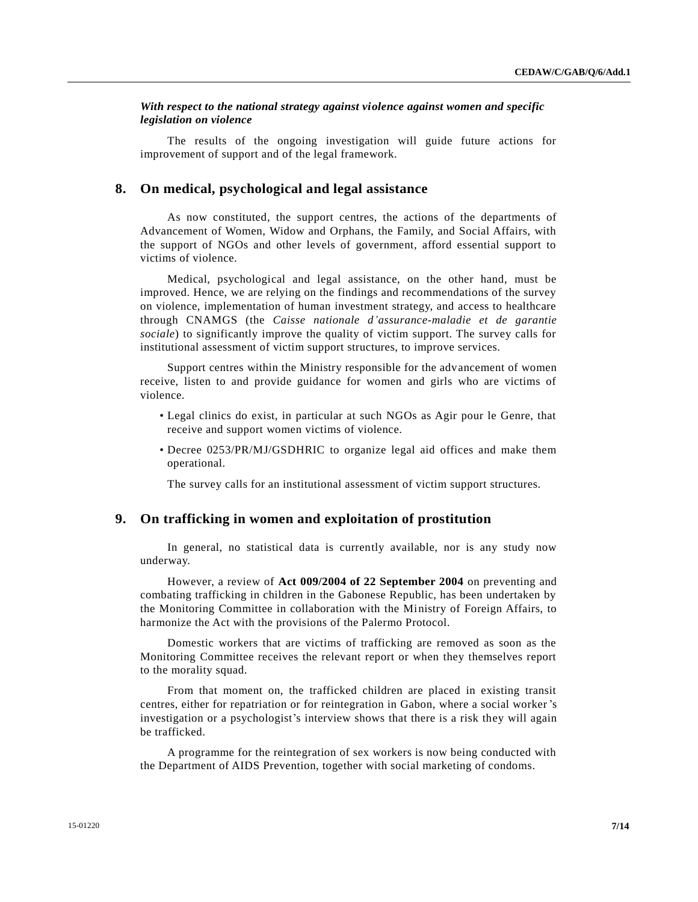#### *With respect to the national strategy against violence against women and specific legislation on violence*

The results of the ongoing investigation will guide future actions for improvement of support and of the legal framework.

#### **8. On medical, psychological and legal assistance**

As now constituted, the support centres, the actions of the departments of Advancement of Women, Widow and Orphans, the Family, and Social Affairs, with the support of NGOs and other levels of government, afford essential support to victims of violence.

Medical, psychological and legal assistance, on the other hand, must be improved. Hence, we are relying on the findings and recommendations of the survey on violence, implementation of human investment strategy, and access to healthcare through CNAMGS (the *Caisse nationale d'assurance-maladie et de garantie sociale*) to significantly improve the quality of victim support. The survey calls for institutional assessment of victim support structures, to improve services.

Support centres within the Ministry responsible for the advancement of women receive, listen to and provide guidance for women and girls who are victims of violence.

- Legal clinics do exist, in particular at such NGOs as Agir pour le Genre, that receive and support women victims of violence.
- Decree 0253/PR/MJ/GSDHRIC to organize legal aid offices and make them operational.

The survey calls for an institutional assessment of victim support structures.

### **9. On trafficking in women and exploitation of prostitution**

In general, no statistical data is currently available, nor is any study now underway.

However, a review of **Act 009/2004 of 22 September 2004** on preventing and combating trafficking in children in the Gabonese Republic, has been undertaken by the Monitoring Committee in collaboration with the Ministry of Foreign Affairs, to harmonize the Act with the provisions of the Palermo Protocol.

Domestic workers that are victims of trafficking are removed as soon as the Monitoring Committee receives the relevant report or when they themselves report to the morality squad.

From that moment on, the trafficked children are placed in existing transit centres, either for repatriation or for reintegration in Gabon, where a social worker 's investigation or a psychologist's interview shows that there is a risk they will again be trafficked.

A programme for the reintegration of sex workers is now being conducted with the Department of AIDS Prevention, together with social marketing of condoms.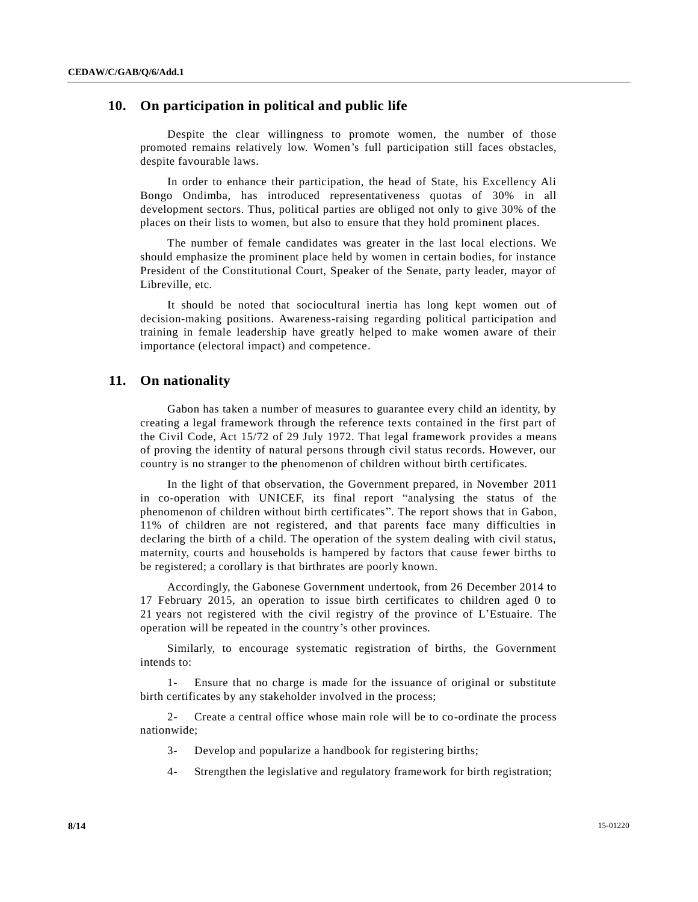## **10. On participation in political and public life**

Despite the clear willingness to promote women, the number of those promoted remains relatively low. Women's full participation still faces obstacles, despite favourable laws.

In order to enhance their participation, the head of State, his Excellency Ali Bongo Ondimba, has introduced representativeness quotas of 30% in all development sectors. Thus, political parties are obliged not only to give 30% of the places on their lists to women, but also to ensure that they hold prominent places.

The number of female candidates was greater in the last local elections. We should emphasize the prominent place held by women in certain bodies, for instance President of the Constitutional Court, Speaker of the Senate, party leader, mayor of Libreville, etc.

It should be noted that sociocultural inertia has long kept women out of decision-making positions. Awareness-raising regarding political participation and training in female leadership have greatly helped to make women aware of their importance (electoral impact) and competence.

#### **11. On nationality**

Gabon has taken a number of measures to guarantee every child an identity, by creating a legal framework through the reference texts contained in the first part of the Civil Code, Act 15/72 of 29 July 1972. That legal framework provides a means of proving the identity of natural persons through civil status records. However, our country is no stranger to the phenomenon of children without birth certificates.

In the light of that observation, the Government prepared, in November 2011 in co-operation with UNICEF, its final report "analysing the status of the phenomenon of children without birth certificates". The report shows that in Gabon, 11% of children are not registered, and that parents face many difficulties in declaring the birth of a child. The operation of the system dealing with civil status, maternity, courts and households is hampered by factors that cause fewer births to be registered; a corollary is that birthrates are poorly known.

Accordingly, the Gabonese Government undertook, from 26 December 2014 to 17 February 2015, an operation to issue birth certificates to children aged 0 to 21 years not registered with the civil registry of the province of L'Estuaire. The operation will be repeated in the country's other provinces.

Similarly, to encourage systematic registration of births, the Government intends to:

1- Ensure that no charge is made for the issuance of original or substitute birth certificates by any stakeholder involved in the process;

2- Create a central office whose main role will be to co-ordinate the process nationwide;

- 3- Develop and popularize a handbook for registering births;
- 4- Strengthen the legislative and regulatory framework for birth registration;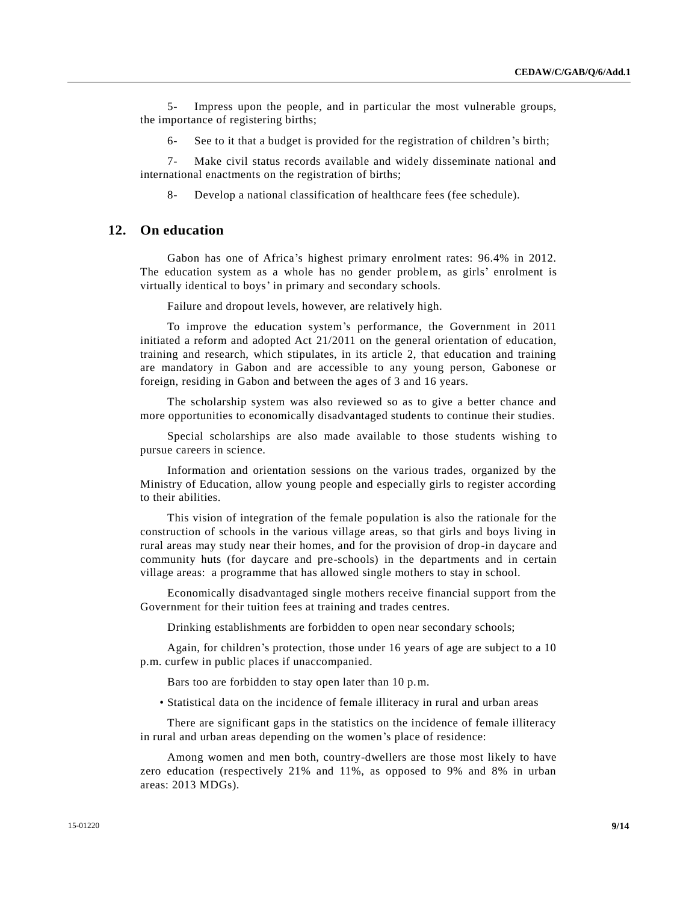5- Impress upon the people, and in particular the most vulnerable groups, the importance of registering births;

6- See to it that a budget is provided for the registration of children's birth;

7- Make civil status records available and widely disseminate national and international enactments on the registration of births;

8- Develop a national classification of healthcare fees (fee schedule).

#### **12. On education**

Gabon has one of Africa's highest primary enrolment rates: 96.4% in 2012. The education system as a whole has no gender problem, as girls' enrolment is virtually identical to boys' in primary and secondary schools.

Failure and dropout levels, however, are relatively high.

To improve the education system's performance, the Government in 2011 initiated a reform and adopted Act 21/2011 on the general orientation of education, training and research, which stipulates, in its article 2, that education and training are mandatory in Gabon and are accessible to any young person, Gabonese or foreign, residing in Gabon and between the ages of 3 and 16 years.

The scholarship system was also reviewed so as to give a better chance and more opportunities to economically disadvantaged students to continue their studies.

Special scholarships are also made available to those students wishing to pursue careers in science.

Information and orientation sessions on the various trades, organized by the Ministry of Education, allow young people and especially girls to register according to their abilities.

This vision of integration of the female population is also the rationale for the construction of schools in the various village areas, so that girls and boys living in rural areas may study near their homes, and for the provision of drop -in daycare and community huts (for daycare and pre-schools) in the departments and in certain village areas: a programme that has allowed single mothers to stay in school.

Economically disadvantaged single mothers receive financial support from the Government for their tuition fees at training and trades centres.

Drinking establishments are forbidden to open near secondary schools;

Again, for children's protection, those under 16 years of age are subject to a 10 p.m. curfew in public places if unaccompanied.

Bars too are forbidden to stay open later than 10 p.m.

• Statistical data on the incidence of female illiteracy in rural and urban areas

There are significant gaps in the statistics on the incidence of female illiteracy in rural and urban areas depending on the women's place of residence:

Among women and men both, country-dwellers are those most likely to have zero education (respectively 21% and 11%, as opposed to 9% and 8% in urban areas: 2013 MDGs).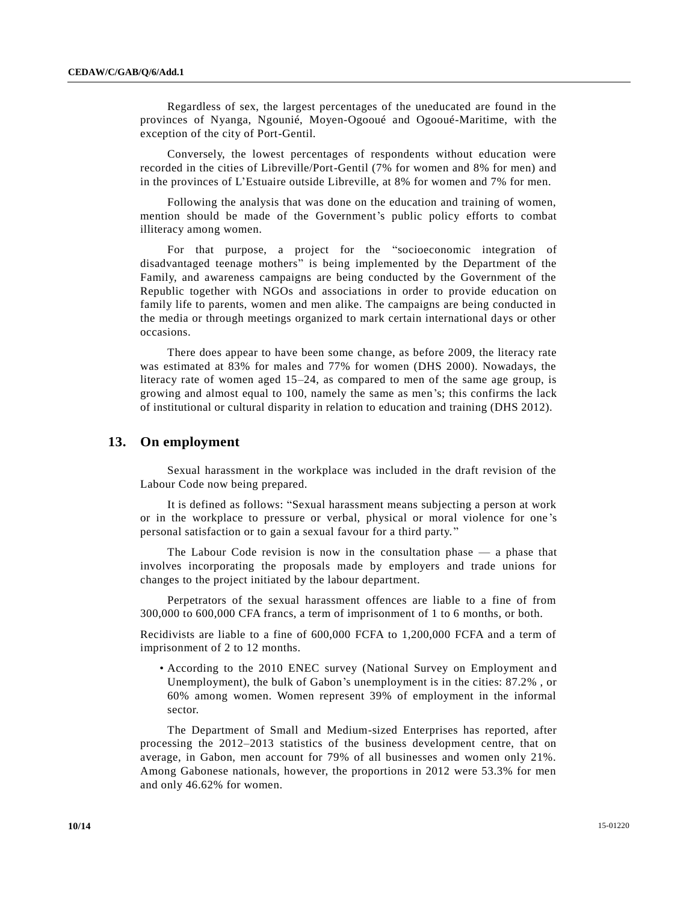Regardless of sex, the largest percentages of the uneducated are found in the provinces of Nyanga, Ngounié, Moyen-Ogooué and Ogooué-Maritime, with the exception of the city of Port-Gentil.

Conversely, the lowest percentages of respondents without education were recorded in the cities of Libreville/Port-Gentil (7% for women and 8% for men) and in the provinces of L'Estuaire outside Libreville, at 8% for women and 7% for men.

Following the analysis that was done on the education and training of women, mention should be made of the Government's public policy efforts to combat illiteracy among women.

For that purpose, a project for the "socioeconomic integration of disadvantaged teenage mothers" is being implemented by the Department of the Family, and awareness campaigns are being conducted by the Government of the Republic together with NGOs and associations in order to provide education on family life to parents, women and men alike. The campaigns are being conducted in the media or through meetings organized to mark certain international days or other occasions.

There does appear to have been some change, as before 2009, the literacy rate was estimated at 83% for males and 77% for women (DHS 2000). Nowadays, the literacy rate of women aged 15–24, as compared to men of the same age group, is growing and almost equal to 100, namely the same as men's; this confirms the lack of institutional or cultural disparity in relation to education and training (DHS 2012).

#### **13. On employment**

Sexual harassment in the workplace was included in the draft revision of the Labour Code now being prepared.

It is defined as follows: "Sexual harassment means subjecting a person at work or in the workplace to pressure or verbal, physical or moral violence for one 's personal satisfaction or to gain a sexual favour for a third party. "

The Labour Code revision is now in the consultation phase — a phase that involves incorporating the proposals made by employers and trade unions for changes to the project initiated by the labour department.

Perpetrators of the sexual harassment offences are liable to a fine of from 300,000 to 600,000 CFA francs, a term of imprisonment of 1 to 6 months, or both.

Recidivists are liable to a fine of 600,000 FCFA to 1,200,000 FCFA and a term of imprisonment of 2 to 12 months.

• According to the 2010 ENEC survey (National Survey on Employment and Unemployment), the bulk of Gabon's unemployment is in the cities: 87.2% , or 60% among women. Women represent 39% of employment in the informal sector.

The Department of Small and Medium-sized Enterprises has reported, after processing the 2012–2013 statistics of the business development centre, that on average, in Gabon, men account for 79% of all businesses and women only 21%. Among Gabonese nationals, however, the proportions in 2012 were 53.3% for men and only 46.62% for women.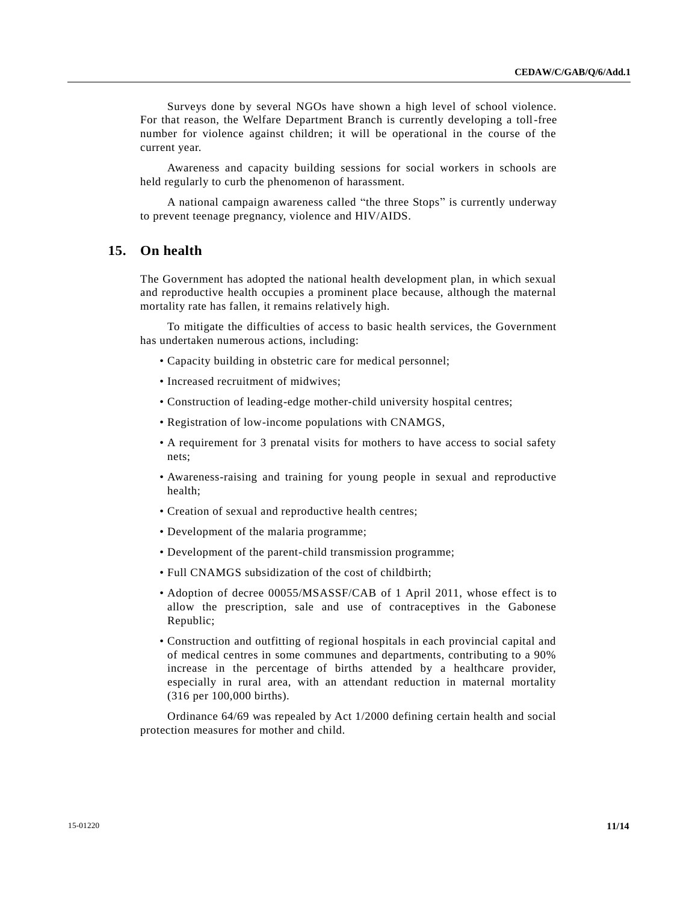Surveys done by several NGOs have shown a high level of school violence. For that reason, the Welfare Department Branch is currently developing a toll-free number for violence against children; it will be operational in the course of the current year.

Awareness and capacity building sessions for social workers in schools are held regularly to curb the phenomenon of harassment.

A national campaign awareness called "the three Stops" is currently underway to prevent teenage pregnancy, violence and HIV/AIDS.

## **15. On health**

The Government has adopted the national health development plan, in which sexual and reproductive health occupies a prominent place because, although the maternal mortality rate has fallen, it remains relatively high.

To mitigate the difficulties of access to basic health services, the Government has undertaken numerous actions, including:

- Capacity building in obstetric care for medical personnel;
- Increased recruitment of midwives;
- Construction of leading-edge mother-child university hospital centres;
- Registration of low-income populations with CNAMGS,
- A requirement for 3 prenatal visits for mothers to have access to social safety nets;
- Awareness-raising and training for young people in sexual and reproductive health;
- Creation of sexual and reproductive health centres;
- Development of the malaria programme;
- Development of the parent-child transmission programme;
- Full CNAMGS subsidization of the cost of childbirth;
- Adoption of decree 00055/MSASSF/CAB of 1 April 2011, whose effect is to allow the prescription, sale and use of contraceptives in the Gabonese Republic;
- Construction and outfitting of regional hospitals in each provincial capital and of medical centres in some communes and departments, contributing to a 90% increase in the percentage of births attended by a healthcare provider, especially in rural area, with an attendant reduction in maternal mortality (316 per 100,000 births).

Ordinance 64/69 was repealed by Act 1/2000 defining certain health and social protection measures for mother and child.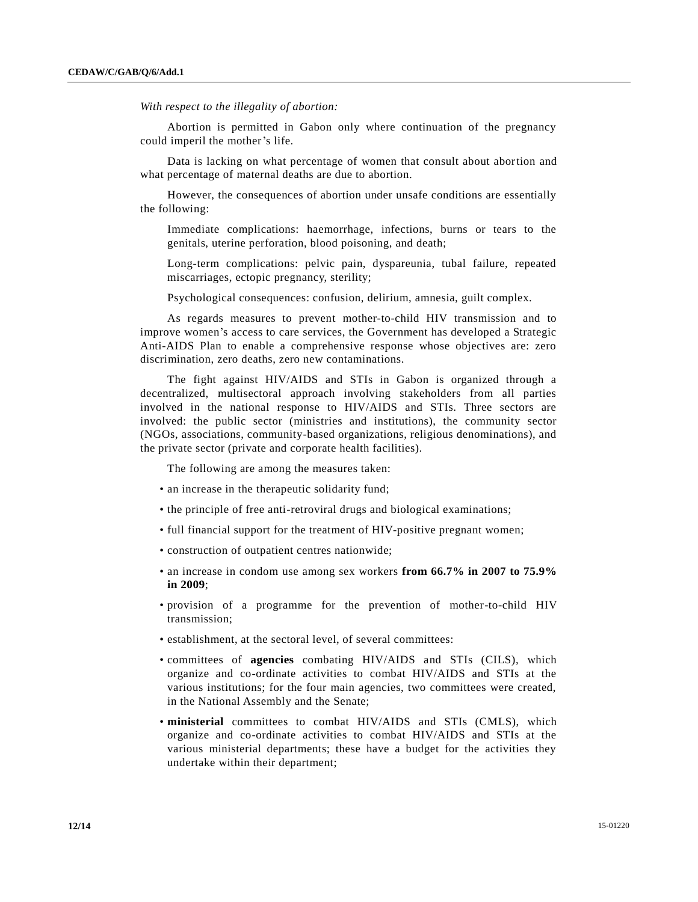*With respect to the illegality of abortion:*

Abortion is permitted in Gabon only where continuation of the pregnancy could imperil the mother's life.

Data is lacking on what percentage of women that consult about abortion and what percentage of maternal deaths are due to abortion.

However, the consequences of abortion under unsafe conditions are essentially the following:

Immediate complications: haemorrhage, infections, burns or tears to the genitals, uterine perforation, blood poisoning, and death;

Long-term complications: pelvic pain, dyspareunia, tubal failure, repeated miscarriages, ectopic pregnancy, sterility;

Psychological consequences: confusion, delirium, amnesia, guilt complex.

As regards measures to prevent mother-to-child HIV transmission and to improve women's access to care services, the Government has developed a Strategic Anti-AIDS Plan to enable a comprehensive response whose objectives are: zero discrimination, zero deaths, zero new contaminations.

The fight against HIV/AIDS and STIs in Gabon is organized through a decentralized, multisectoral approach involving stakeholders from all parties involved in the national response to HIV/AIDS and STIs. Three sectors are involved: the public sector (ministries and institutions), the community sector (NGOs, associations, community-based organizations, religious denominations), and the private sector (private and corporate health facilities).

The following are among the measures taken:

- an increase in the therapeutic solidarity fund;
- the principle of free anti-retroviral drugs and biological examinations;
- full financial support for the treatment of HIV-positive pregnant women;
- construction of outpatient centres nationwide;
- an increase in condom use among sex workers **from 66.7% in 2007 to 75.9% in 2009**;
- provision of a programme for the prevention of mother-to-child HIV transmission;
- establishment, at the sectoral level, of several committees:
- committees of **agencies** combating HIV/AIDS and STIs (CILS), which organize and co-ordinate activities to combat HIV/AIDS and STIs at the various institutions; for the four main agencies, two committees were created, in the National Assembly and the Senate;
- **ministerial** committees to combat HIV/AIDS and STIs (CMLS), which organize and co-ordinate activities to combat HIV/AIDS and STIs at the various ministerial departments; these have a budget for the activities they undertake within their department;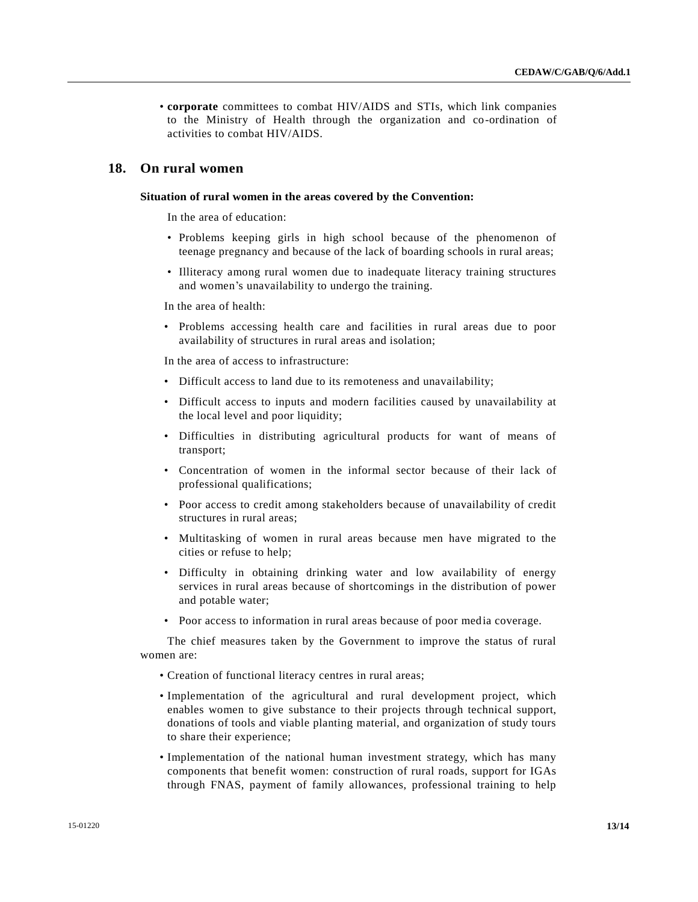• **corporate** committees to combat HIV/AIDS and STIs, which link companies to the Ministry of Health through the organization and co-ordination of activities to combat HIV/AIDS.

## **18. On rural women**

#### **Situation of rural women in the areas covered by the Convention:**

In the area of education:

- Problems keeping girls in high school because of the phenomenon of teenage pregnancy and because of the lack of boarding schools in rural areas;
- Illiteracy among rural women due to inadequate literacy training structures and women's unavailability to undergo the training.

In the area of health:

• Problems accessing health care and facilities in rural areas due to poor availability of structures in rural areas and isolation;

In the area of access to infrastructure:

- Difficult access to land due to its remoteness and unavailability;
- Difficult access to inputs and modern facilities caused by unavailability at the local level and poor liquidity;
- Difficulties in distributing agricultural products for want of means of transport;
- Concentration of women in the informal sector because of their lack of professional qualifications;
- Poor access to credit among stakeholders because of unavailability of credit structures in rural areas;
- Multitasking of women in rural areas because men have migrated to the cities or refuse to help;
- Difficulty in obtaining drinking water and low availability of energy services in rural areas because of shortcomings in the distribution of power and potable water;
- Poor access to information in rural areas because of poor media coverage.

The chief measures taken by the Government to improve the status of rural women are:

- Creation of functional literacy centres in rural areas;
- Implementation of the agricultural and rural development project, which enables women to give substance to their projects through technical support, donations of tools and viable planting material, and organization of study tours to share their experience;
- Implementation of the national human investment strategy, which has many components that benefit women: construction of rural roads, support for IGAs through FNAS, payment of family allowances, professional training to help